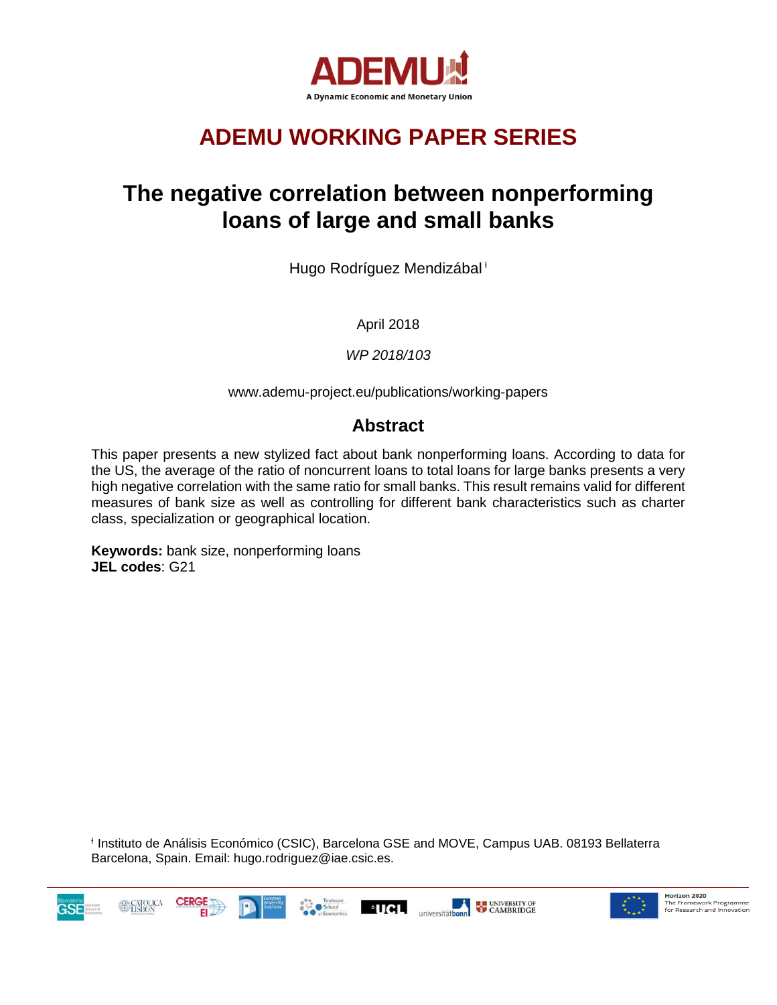

# **ADEMU WORKING PAPER SERIES**

# **The negative correlation between nonperforming loans of large and small banks**

Hugo Rodríguez Mendizábal<sup>+</sup>

April 2018

*WP 2018/103*

www.ademu-project.eu/publications/working-papers

## **Abstract**

This paper presents a new stylized fact about bank nonperforming loans. According to data for the US, the average of the ratio of noncurrent loans to total loans for large banks presents a very high negative correlation with the same ratio for small banks. This result remains valid for different measures of bank size as well as controlling for different bank characteristics such as charter class, specialization or geographical location.

**Keywords:** bank size, nonperforming loans **JEL codes**: G21

<sup>ƚ</sup> Instituto de Análisis Económico (CSIC), Barcelona GSE and MOVE, Campus UAB. 08193 Bellaterra Barcelona, Spain. Email: hugo.rodriguez@iae.csic.es.





Horizon 2020 The Framework Programme<br>for Research and Innovation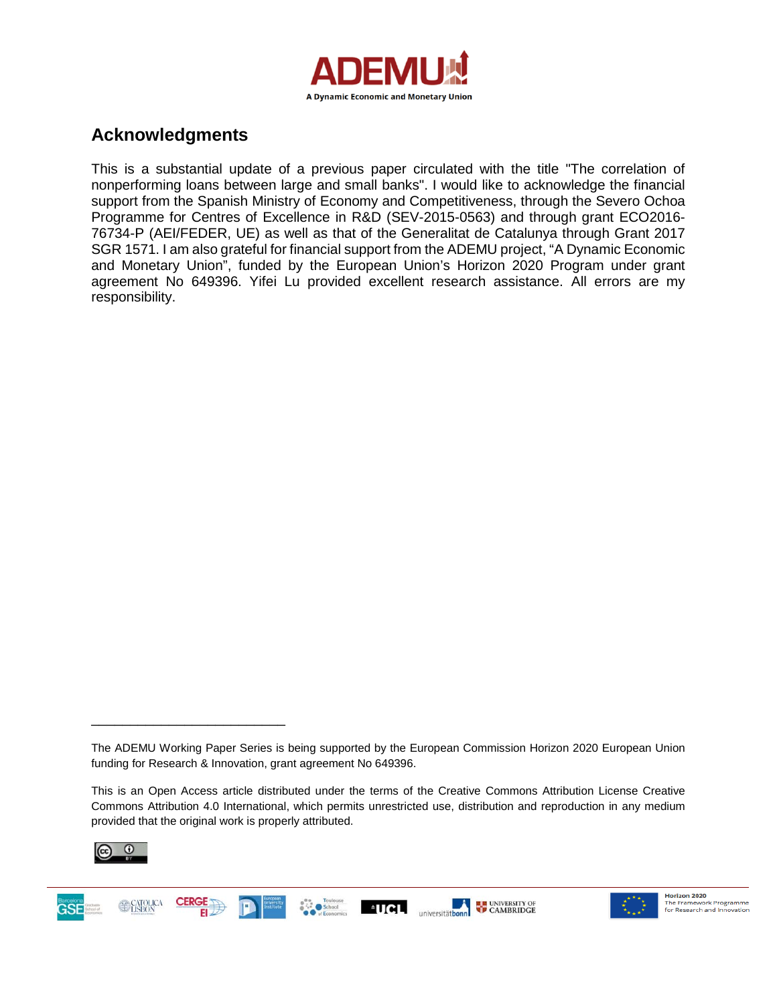

## **Acknowledgments**

This is a substantial update of a previous paper circulated with the title "The correlation of nonperforming loans between large and small banks". I would like to acknowledge the financial support from the Spanish Ministry of Economy and Competitiveness, through the Severo Ochoa Programme for Centres of Excellence in R&D (SEV-2015-0563) and through grant ECO2016- 76734-P (AEI/FEDER, UE) as well as that of the Generalitat de Catalunya through Grant 2017 SGR 1571. I am also grateful for financial support from the ADEMU project, "A Dynamic Economic and Monetary Union", funded by the European Union's Horizon 2020 Program under grant agreement No 649396. Yifei Lu provided excellent research assistance. All errors are my responsibility.

This is an Open Access article distributed under the terms of the Creative Commons Attribution License Creative Commons Attribution 4.0 International, which permits unrestricted use, distribution and reproduction in any medium provided that the original work is properly attributed.



\_\_\_\_\_\_\_\_\_\_\_\_\_\_\_\_\_\_\_\_\_\_\_\_\_





The ADEMU Working Paper Series is being supported by the European Commission Horizon 2020 European Union funding for Research & Innovation, grant agreement No 649396.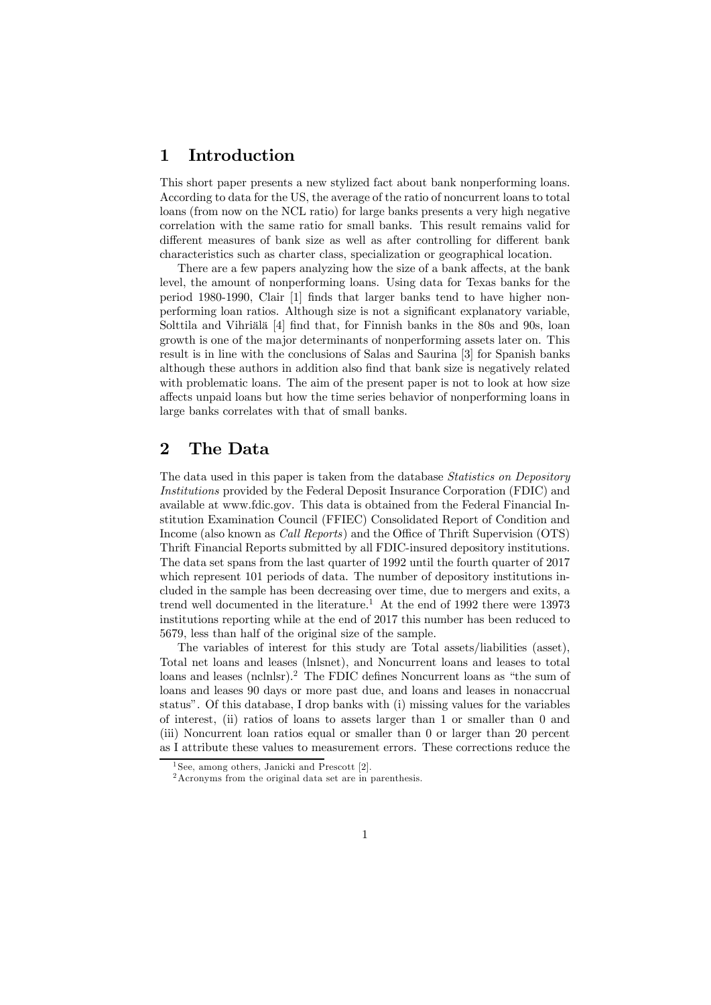### 1 Introduction

This short paper presents a new stylized fact about bank nonperforming loans. According to data for the US, the average of the ratio of noncurrent loans to total loans (from now on the NCL ratio) for large banks presents a very high negative correlation with the same ratio for small banks. This result remains valid for different measures of bank size as well as after controlling for different bank characteristics such as charter class, specialization or geographical location.

There are a few papers analyzing how the size of a bank affects, at the bank level, the amount of nonperforming loans. Using data for Texas banks for the period 1980-1990, Clair [1] finds that larger banks tend to have higher nonperforming loan ratios. Although size is not a significant explanatory variable, Solttila and Vihriälä [4] find that, for Finnish banks in the 80s and 90s, loan growth is one of the major determinants of nonperforming assets later on. This result is in line with the conclusions of Salas and Saurina [3] for Spanish banks although these authors in addition also find that bank size is negatively related with problematic loans. The aim of the present paper is not to look at how size affects unpaid loans but how the time series behavior of nonperforming loans in large banks correlates with that of small banks.

### 2 The Data

The data used in this paper is taken from the database *Statistics on Depository* Institutions provided by the Federal Deposit Insurance Corporation (FDIC) and available at www.fdic.gov. This data is obtained from the Federal Financial Institution Examination Council (FFIEC) Consolidated Report of Condition and Income (also known as Call Reports) and the Office of Thrift Supervision (OTS) Thrift Financial Reports submitted by all FDIC-insured depository institutions. The data set spans from the last quarter of 1992 until the fourth quarter of 2017 which represent 101 periods of data. The number of depository institutions included in the sample has been decreasing over time, due to mergers and exits, a trend well documented in the literature.<sup>1</sup> At the end of 1992 there were 13973 institutions reporting while at the end of 2017 this number has been reduced to 5679, less than half of the original size of the sample.

The variables of interest for this study are Total assets/liabilities (asset), Total net loans and leases (lnlsnet), and Noncurrent loans and leases to total loans and leases (nclnlsr).<sup>2</sup> The FDIC defines Noncurrent loans as "the sum of loans and leases 90 days or more past due, and loans and leases in nonaccrual status". Of this database, I drop banks with (i) missing values for the variables of interest, (ii) ratios of loans to assets larger than 1 or smaller than 0 and (iii) Noncurrent loan ratios equal or smaller than 0 or larger than 20 percent as I attribute these values to measurement errors. These corrections reduce the

<sup>1</sup> See, among others, Janicki and Prescott [2].

<sup>2</sup>Acronyms from the original data set are in parenthesis.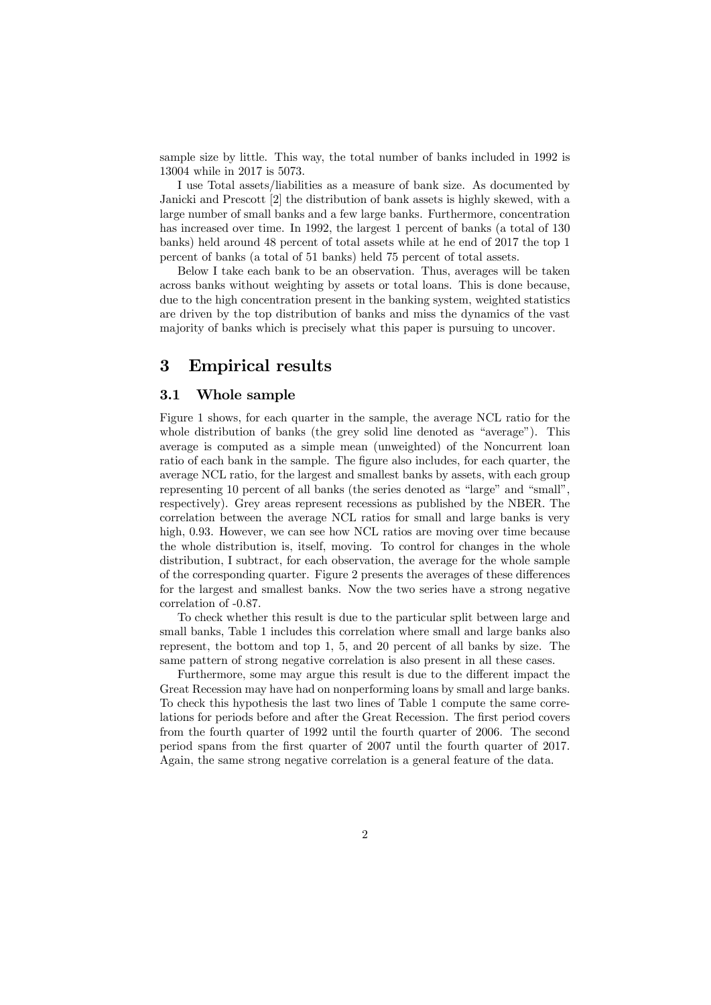sample size by little. This way, the total number of banks included in 1992 is 13004 while in 2017 is 5073.

I use Total assets/liabilities as a measure of bank size. As documented by Janicki and Prescott [2] the distribution of bank assets is highly skewed, with a large number of small banks and a few large banks. Furthermore, concentration has increased over time. In 1992, the largest 1 percent of banks (a total of 130 banks) held around 48 percent of total assets while at he end of 2017 the top 1 percent of banks (a total of 51 banks) held 75 percent of total assets.

Below I take each bank to be an observation. Thus, averages will be taken across banks without weighting by assets or total loans. This is done because, due to the high concentration present in the banking system, weighted statistics are driven by the top distribution of banks and miss the dynamics of the vast majority of banks which is precisely what this paper is pursuing to uncover.

### 3 Empirical results

#### 3.1 Whole sample

Figure 1 shows, for each quarter in the sample, the average NCL ratio for the whole distribution of banks (the grey solid line denoted as "average"). This average is computed as a simple mean (unweighted) of the Noncurrent loan ratio of each bank in the sample. The figure also includes, for each quarter, the average NCL ratio, for the largest and smallest banks by assets, with each group representing 10 percent of all banks (the series denoted as "large" and "small", respectively). Grey areas represent recessions as published by the NBER. The correlation between the average NCL ratios for small and large banks is very high, 0.93. However, we can see how NCL ratios are moving over time because the whole distribution is, itself, moving. To control for changes in the whole distribution, I subtract, for each observation, the average for the whole sample of the corresponding quarter. Figure 2 presents the averages of these differences for the largest and smallest banks. Now the two series have a strong negative correlation of -0.87.

To check whether this result is due to the particular split between large and small banks, Table 1 includes this correlation where small and large banks also represent, the bottom and top 1, 5, and 20 percent of all banks by size. The same pattern of strong negative correlation is also present in all these cases.

Furthermore, some may argue this result is due to the different impact the Great Recession may have had on nonperforming loans by small and large banks. To check this hypothesis the last two lines of Table 1 compute the same correlations for periods before and after the Great Recession. The first period covers from the fourth quarter of 1992 until the fourth quarter of 2006. The second period spans from the first quarter of 2007 until the fourth quarter of 2017. Again, the same strong negative correlation is a general feature of the data.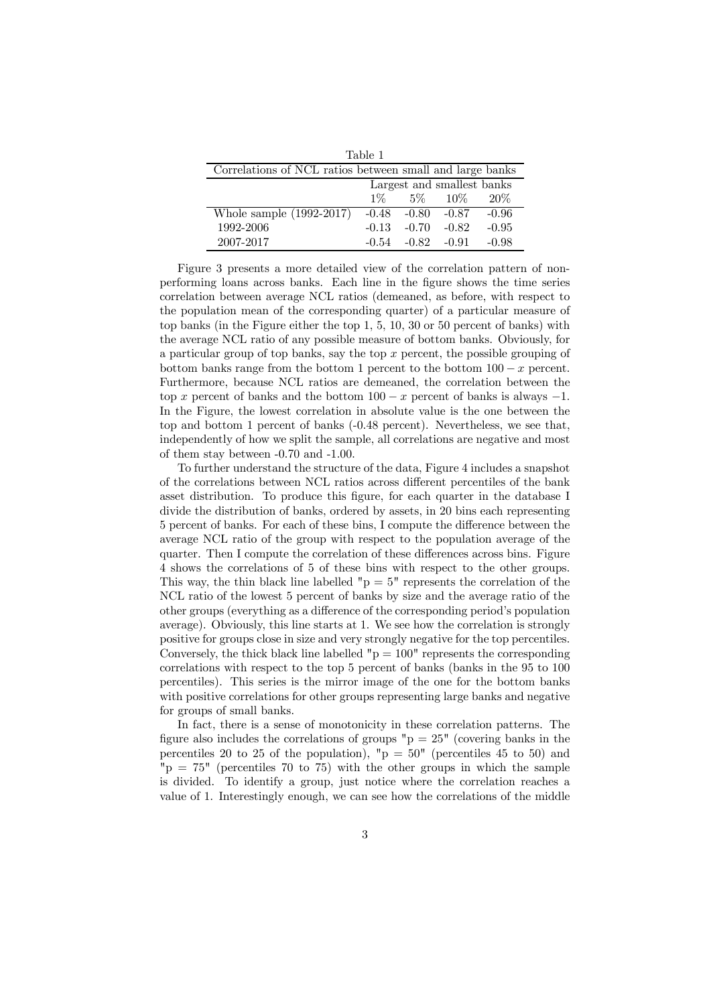| Table 1                                                  |         |                         |          |         |
|----------------------------------------------------------|---------|-------------------------|----------|---------|
| Correlations of NCL ratios between small and large banks |         |                         |          |         |
| Largest and smallest banks                               |         |                         |          |         |
|                                                          | $1\%$   |                         | 5\% 10\% | $20\%$  |
| Whole sample $(1992-2017)$                               |         | $-0.48$ $-0.80$ $-0.87$ |          | $-0.96$ |
| 1992-2006                                                | $-0.13$ | $-0.70$                 | $-0.82$  | $-0.95$ |
| 2007-2017                                                | $-0.54$ | $-0.82 - 0.91$          |          | $-0.98$ |

Figure 3 presents a more detailed view of the correlation pattern of nonperforming loans across banks. Each line in the figure shows the time series correlation between average NCL ratios (demeaned, as before, with respect to the population mean of the corresponding quarter) of a particular measure of top banks (in the Figure either the top 1, 5, 10, 30 or 50 percent of banks) with the average NCL ratio of any possible measure of bottom banks. Obviously, for a particular group of top banks, say the top  $x$  percent, the possible grouping of bottom banks range from the bottom 1 percent to the bottom  $100 - x$  percent. Furthermore, because NCL ratios are demeaned, the correlation between the top x percent of banks and the bottom  $100 - x$  percent of banks is always  $-1$ . In the Figure, the lowest correlation in absolute value is the one between the top and bottom 1 percent of banks (-0.48 percent). Nevertheless, we see that, independently of how we split the sample, all correlations are negative and most of them stay between -0.70 and -1.00.

To further understand the structure of the data, Figure 4 includes a snapshot of the correlations between NCL ratios across different percentiles of the bank asset distribution. To produce this figure, for each quarter in the database I divide the distribution of banks, ordered by assets, in 20 bins each representing 5 percent of banks. For each of these bins, I compute the difference between the average NCL ratio of the group with respect to the population average of the quarter. Then I compute the correlation of these differences across bins. Figure 4 shows the correlations of 5 of these bins with respect to the other groups. This way, the thin black line labelled " $p = 5$ " represents the correlation of the NCL ratio of the lowest 5 percent of banks by size and the average ratio of the other groups (everything as a difference of the corresponding period's population average). Obviously, this line starts at 1. We see how the correlation is strongly positive for groups close in size and very strongly negative for the top percentiles. Conversely, the thick black line labelled " $p = 100$ " represents the corresponding correlations with respect to the top 5 percent of banks (banks in the 95 to 100 percentiles). This series is the mirror image of the one for the bottom banks with positive correlations for other groups representing large banks and negative for groups of small banks.

In fact, there is a sense of monotonicity in these correlation patterns. The figure also includes the correlations of groups " $p = 25$ " (covering banks in the percentiles 20 to 25 of the population), " $p = 50$ " (percentiles 45 to 50) and  $v_{\rm p} = 75$ " (percentiles 70 to 75) with the other groups in which the sample is divided. To identify a group, just notice where the correlation reaches a value of 1. Interestingly enough, we can see how the correlations of the middle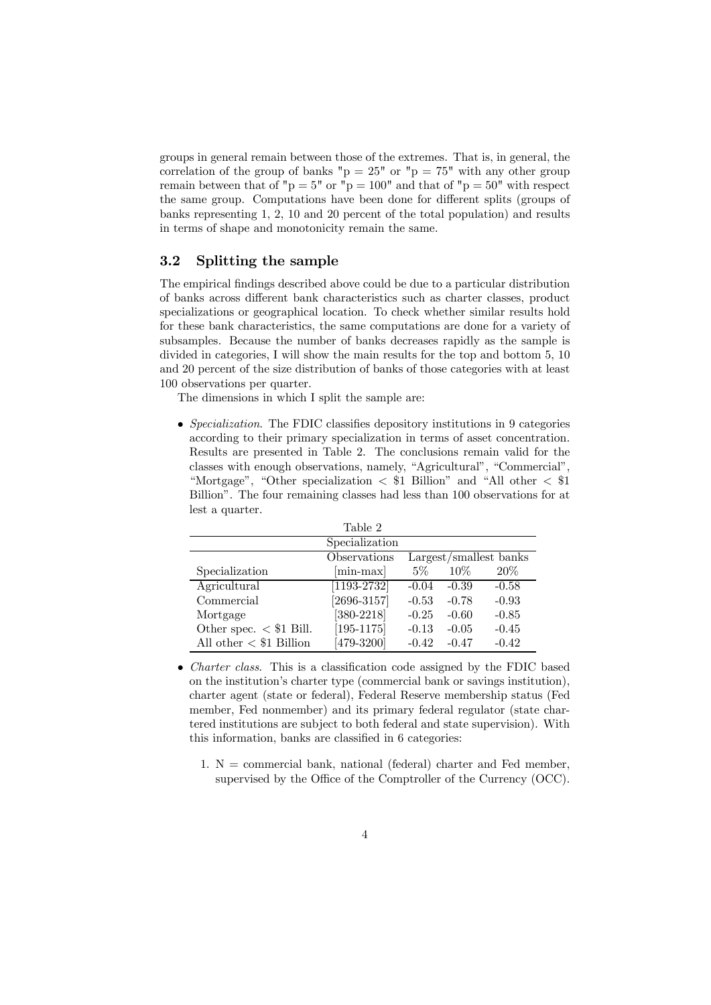groups in general remain between those of the extremes. That is, in general, the correlation of the group of banks " $p = 25$ " or " $p = 75$ " with any other group remain between that of " $p = 5$ " or " $p = 100$ " and that of " $p = 50$ " with respect the same group. Computations have been done for different splits (groups of banks representing 1, 2, 10 and 20 percent of the total population) and results in terms of shape and monotonicity remain the same.

#### 3.2 Splitting the sample

The empirical findings described above could be due to a particular distribution of banks across different bank characteristics such as charter classes, product specializations or geographical location. To check whether similar results hold for these bank characteristics, the same computations are done for a variety of subsamples. Because the number of banks decreases rapidly as the sample is divided in categories, I will show the main results for the top and bottom 5, 10 and 20 percent of the size distribution of banks of those categories with at least 100 observations per quarter.

The dimensions in which I split the sample are:

• Specialization. The FDIC classifies depository institutions in 9 categories according to their primary specialization in terms of asset concentration. Results are presented in Table 2. The conclusions remain valid for the classes with enough observations, namely, "Agricultural", "Commercial", "Mortgage", "Other specialization  $\langle$  \$1 Billion" and "All other  $\langle$  \$1 Billion". The four remaining classes had less than 100 observations for at lest a quarter.

|                                 | Table 2                                |         |         |         |
|---------------------------------|----------------------------------------|---------|---------|---------|
|                                 | Specialization                         |         |         |         |
|                                 | Observations<br>Largest/smallest banks |         |         |         |
| Specialization                  | $[\text{min-max}]$                     | $5\%$   | $10\%$  | 20\%    |
| Agricultural                    | $\overline{1193}$ -2732                | $-0.04$ | $-0.39$ | $-0.58$ |
| Commercial                      | $[2696 - 3157]$                        | $-0.53$ | $-0.78$ | $-0.93$ |
| Mortgage                        | $[380-2218]$                           | $-0.25$ | $-0.60$ | $-0.85$ |
| Other spec. $\langle$ \$1 Bill. | $[195 - 1175]$                         | $-0.13$ | $-0.05$ | $-0.45$ |
| All other $<$ $\$1$ Billion     | $[479-3200]$                           | $-0.42$ | $-0.47$ | $-0.42$ |

- *Charter class.* This is a classification code assigned by the FDIC based on the institution's charter type (commercial bank or savings institution), charter agent (state or federal), Federal Reserve membership status (Fed member, Fed nonmember) and its primary federal regulator (state chartered institutions are subject to both federal and state supervision). With this information, banks are classified in 6 categories:
	- 1.  $N =$  commercial bank, national (federal) charter and Fed member, supervised by the Office of the Comptroller of the Currency (OCC).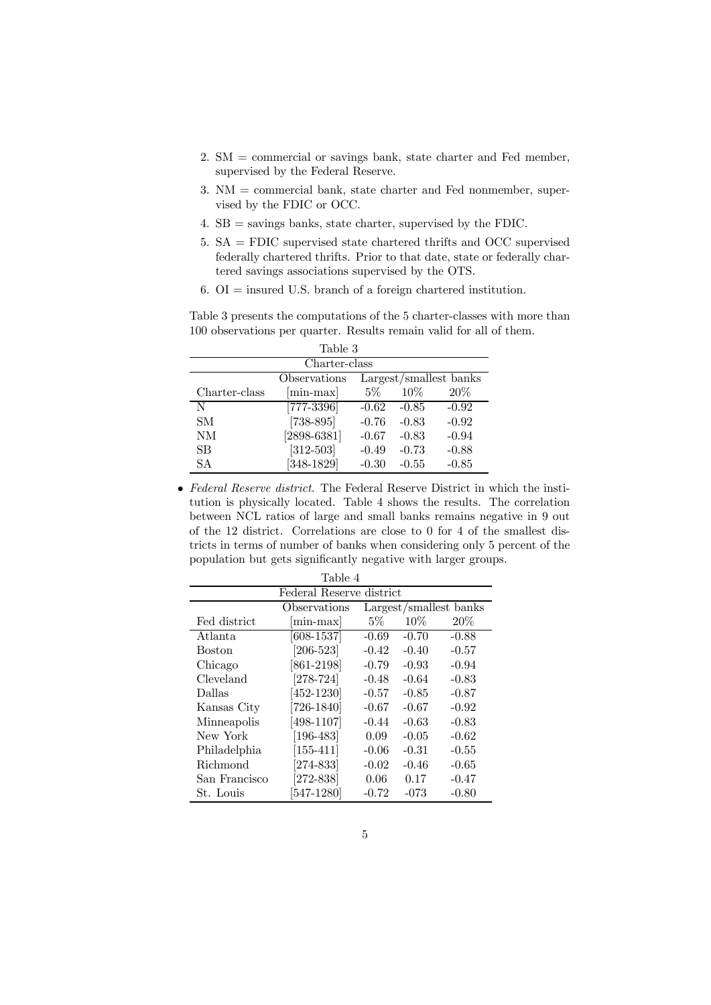- 2. SM = commercial or savings bank, state charter and Fed member, supervised by the Federal Reserve.
- 3. NM = commercial bank, state charter and Fed nonmember, supervised by the FDIC or OCC.
- 4. SB = savings banks, state charter, supervised by the FDIC.
- 5. SA = FDIC supervised state chartered thrifts and OCC supervised federally chartered thrifts. Prior to that date, state or federally chartered savings associations supervised by the OTS.
- 6. OI = insured U.S. branch of a foreign chartered institution.

Table 3 presents the computations of the 5 charter-classes with more than 100 observations per quarter. Results remain valid for all of them.

| Table 3       |                    |                        |         |         |
|---------------|--------------------|------------------------|---------|---------|
| Charter-class |                    |                        |         |         |
|               | Observations       | Largest/smallest banks |         |         |
| Charter-class | $[\text{min-max}]$ | 5%                     | 10%     | $20\%$  |
| N             | $[777 - 3396]$     | $-0.62$                | $-0.85$ | $-0.92$ |
| <b>SM</b>     | $[738 - 895]$      | $-0.76$                | $-0.83$ | $-0.92$ |
| NM            | $[2898-6381]$      | $-0.67$                | $-0.83$ | $-0.94$ |
| SВ            | $[312 - 503]$      | $-0.49$                | $-0.73$ | $-0.88$ |
| SА            | $[348-1829]$       | $-0.30$                | $-0.55$ | $-0.85$ |

• Federal Reserve district. The Federal Reserve District in which the institution is physically located. Table 4 shows the results. The correlation between NCL ratios of large and small banks remains negative in 9 out of the 12 district. Correlations are close to 0 for 4 of the smallest districts in terms of number of banks when considering only 5 percent of the population but gets significantly negative with larger groups.

| Table 4                  |                               |                        |         |         |  |
|--------------------------|-------------------------------|------------------------|---------|---------|--|
| Federal Reserve district |                               |                        |         |         |  |
|                          | Observations                  | Largest/smallest banks |         |         |  |
| Fed district             | $min-max$                     | $5\%$                  | $10\%$  | 20%     |  |
| Atlanta.                 | [608-1537]                    | $-0.69$                | $-0.70$ | $-0.88$ |  |
| Boston                   | $\left[206\text{-}523\right]$ | $-0.42$                | $-0.40$ | $-0.57$ |  |
| Chicago                  | $[861 - 2198]$                | $-0.79$                | $-0.93$ | $-0.94$ |  |
| Cleveland                | $[278-724]$                   | $-0.48$                | $-0.64$ | $-0.83$ |  |
| Dallas                   | $[452-1230]$                  | $-0.57$                | $-0.85$ | $-0.87$ |  |
| Kansas City              | [726-1840]                    | $-0.67$                | $-0.67$ | $-0.92$ |  |
| Minneapolis              | $[498 - 1107]$                | $-0.44$                | $-0.63$ | $-0.83$ |  |
| New York                 | [196-483]                     | 0.09                   | $-0.05$ | $-0.62$ |  |
| Philadelphia             | $[155 - 411]$                 | $-0.06$                | $-0.31$ | $-0.55$ |  |
| Richmond                 | $[274-833]$                   | $-0.02$                | $-0.46$ | $-0.65$ |  |
| San Francisco            | $[272-838]$                   | 0.06                   | 0.17    | $-0.47$ |  |
| St. Louis                | 547-1280]                     | $-0.72$                | $-073$  | $-0.80$ |  |

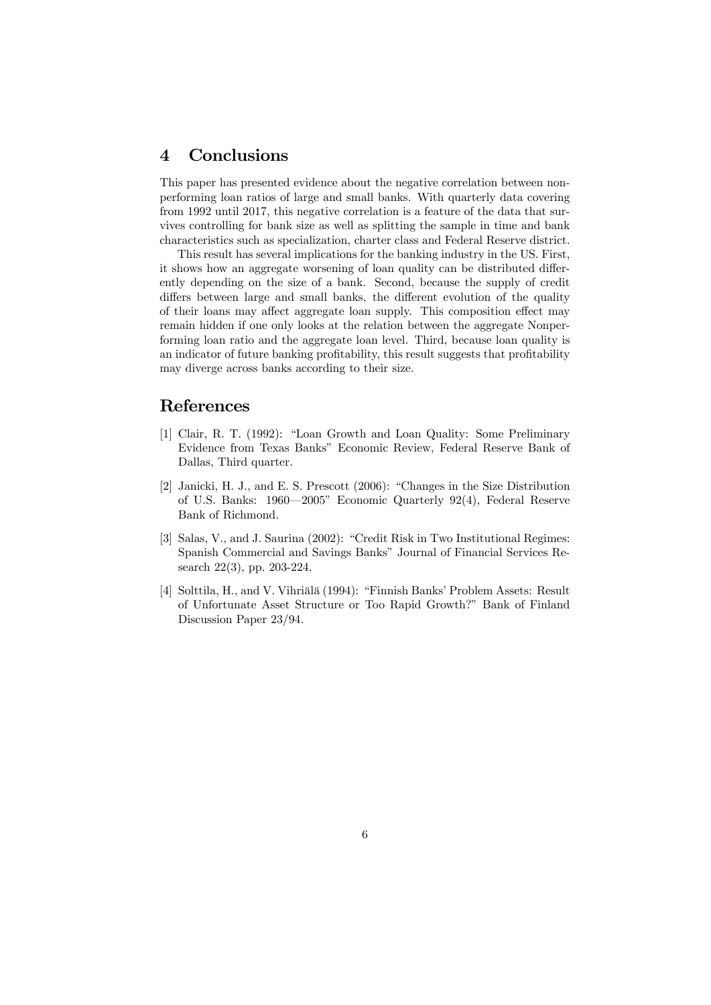### 4 Conclusions

This paper has presented evidence about the negative correlation between nonperforming loan ratios of large and small banks. With quarterly data covering from 1992 until 2017, this negative correlation is a feature of the data that survives controlling for bank size as well as splitting the sample in time and bank characteristics such as specialization, charter class and Federal Reserve district.

This result has several implications for the banking industry in the US. First, it shows how an aggregate worsening of loan quality can be distributed differently depending on the size of a bank. Second, because the supply of credit differs between large and small banks, the different evolution of the quality of their loans may affect aggregate loan supply. This composition effect may remain hidden if one only looks at the relation between the aggregate Nonperforming loan ratio and the aggregate loan level. Third, because loan quality is an indicator of future banking profitability, this result suggests that profitability may diverge across banks according to their size.

#### References

- [1] Clair, R. T. (1992): "Loan Growth and Loan Quality: Some Preliminary Evidence from Texas Banks" Economic Review, Federal Reserve Bank of Dallas, Third quarter.
- [2] Janicki, H. J., and E. S. Prescott (2006): "Changes in the Size Distribution of U.S. Banks: 1960–2005" Economic Quarterly 92(4), Federal Reserve Bank of Richmond.
- [3] Salas, V., and J. Saurina (2002): "Credit Risk in Two Institutional Regimes: Spanish Commercial and Savings Banks" Journal of Financial Services Research 22(3), pp. 203-224.
- [4] Solttila, H., and V. Vihriälä (1994): "Finnish Banks' Problem Assets: Result of Unfortunate Asset Structure or Too Rapid Growth?" Bank of Finland Discussion Paper 23/94.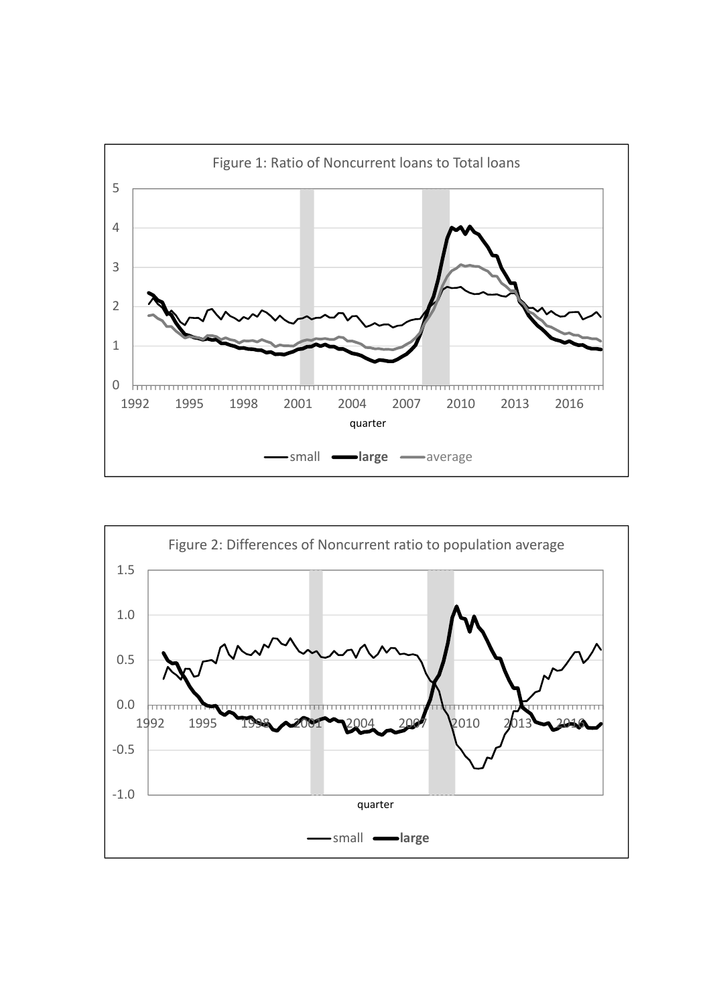